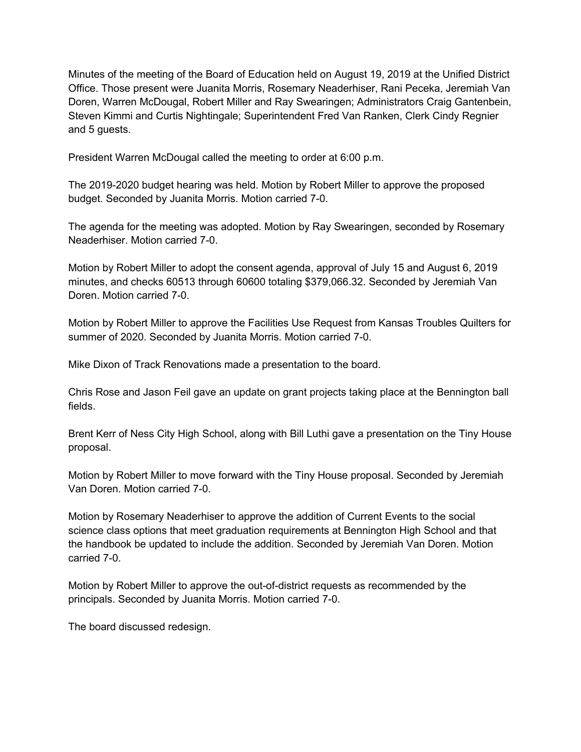Minutes of the meeting of the Board of Education held on August 19, 2019 at the Unified District Office. Those present were Juanita Morris, Rosemary Neaderhiser, Rani Peceka, Jeremiah Van Doren, Warren McDougal, Robert Miller and Ray Swearingen; Administrators Craig Gantenbein, Steven Kimmi and Curtis Nightingale; Superintendent Fred Van Ranken, Clerk Cindy Regnier and 5 guests.

President Warren McDougal called the meeting to order at 6:00 p.m.

The 2019-2020 budget hearing was held. Motion by Robert Miller to approve the proposed budget. Seconded by Juanita Morris. Motion carried 7-0.

The agenda for the meeting was adopted. Motion by Ray Swearingen, seconded by Rosemary Neaderhiser. Motion carried 7-0.

Motion by Robert Miller to adopt the consent agenda, approval of July 15 and August 6, 2019 minutes, and checks 60513 through 60600 totaling \$379,066.32. Seconded by Jeremiah Van Doren. Motion carried 7-0.

Motion by Robert Miller to approve the Facilities Use Request from Kansas Troubles Quilters for summer of 2020. Seconded by Juanita Morris. Motion carried 7-0.

Mike Dixon of Track Renovations made a presentation to the board.

Chris Rose and Jason Feil gave an update on grant projects taking place at the Bennington ball fields.

Brent Kerr of Ness City High School, along with Bill Luthi gave a presentation on the Tiny House proposal.

Motion by Robert Miller to move forward with the Tiny House proposal. Seconded by Jeremiah Van Doren. Motion carried 7-0.

Motion by Rosemary Neaderhiser to approve the addition of Current Events to the social science class options that meet graduation requirements at Bennington High School and that the handbook be updated to include the addition. Seconded by Jeremiah Van Doren. Motion carried 7-0.

Motion by Robert Miller to approve the out-of-district requests as recommended by the principals. Seconded by Juanita Morris. Motion carried 7-0.

The board discussed redesign.